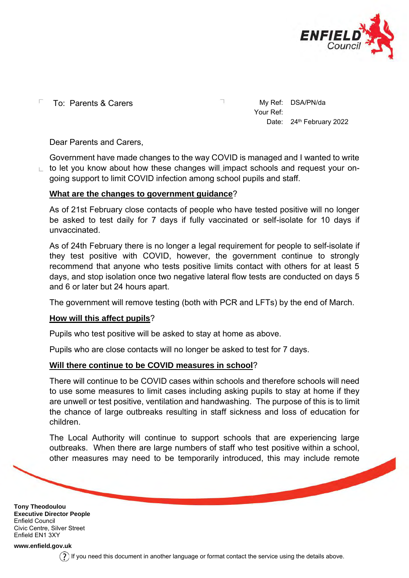

To: Parents & Carers My Ref: DSA/PN/da Г

Your Ref: Date: 24<sup>th</sup> February 2022

Dear Parents and Carers,

Government have made changes to the way COVID is managed and I wanted to write to let you know about how these changes will impact schools and request your on-L going support to limit COVID infection among school pupils and staff.

## **What are the changes to government guidance**?

As of 21st February close contacts of people who have tested positive will no longer be asked to test daily for 7 days if fully vaccinated or self-isolate for 10 days if unvaccinated.

As of 24th February there is no longer a legal requirement for people to self-isolate if they test positive with COVID, however, the government continue to strongly recommend that anyone who tests positive limits contact with others for at least 5 days, and stop isolation once two negative lateral flow tests are conducted on days 5 and 6 or later but 24 hours apart.

The government will remove testing (both with PCR and LFTs) by the end of March.

## **How will this affect pupils**?

Pupils who test positive will be asked to stay at home as above.

Pupils who are close contacts will no longer be asked to test for 7 days.

## **Will there continue to be COVID measures in school**?

There will continue to be COVID cases within schools and therefore schools will need to use some measures to limit cases including asking pupils to stay at home if they are unwell or test positive, ventilation and handwashing. The purpose of this is to limit the chance of large outbreaks resulting in staff sickness and loss of education for children.

The Local Authority will continue to support schools that are experiencing large outbreaks. When there are large numbers of staff who test positive within a school, other measures may need to be temporarily introduced, this may include remote

**Tony Theodoulou Executive Director People** Enfield Council Civic Centre, Silver Street Enfield EN1 3XY

**[www.enfield.gov.uk](http://www.enfield.gov.uk/)**

 $(?)$  If you need this document in another language or format contact the service using the details above.